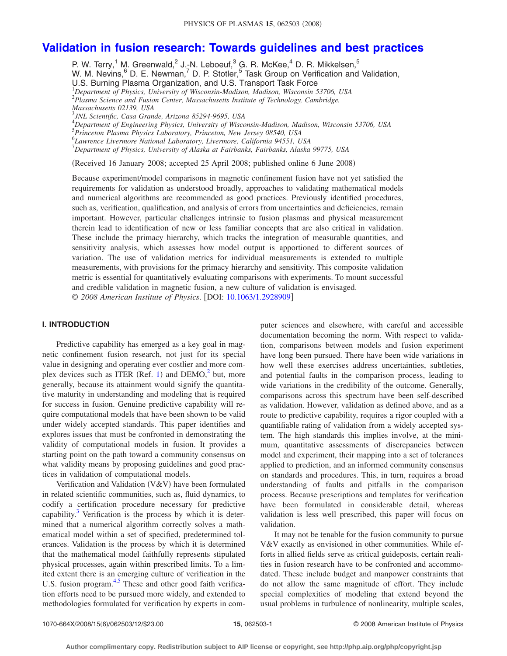# **[Validation in fusion research: Towards guidelines and best practices](http://dx.doi.org/10.1063/1.2928909)**

P. W. Terry,<sup>1</sup> M. Greenwald,<sup>2</sup> J.-N. Leboeuf,<sup>3</sup> G. R. McKee,<sup>4</sup> D. R. Mikkelsen,<sup>5</sup> W. M. Nevins,  $6$  D. E. Newman,  $7$  D. P. Stotler,  $5$  Task Group on Verification and Validation, U.S. Burning Plasma Organization, and U.S. Transport Task Force 1 *Department of Physics, University of Wisconsin-Madison, Madison, Wisconsin 53706, USA* 2 *Plasma Science and Fusion Center, Massachusetts Institute of Technology, Cambridge, Massachusetts 02139, USA* 3 *JNL Scientific, Casa Grande, Arizona 85294-9695, USA* 4 *Department of Engineering Physics, University of Wisconsin-Madison, Madison, Wisconsin 53706, USA* 5 *Princeton Plasma Physics Laboratory, Princeton, New Jersey 08540, USA* 6 *Lawrence Livermore National Laboratory, Livermore, California 94551, USA*

7 *Department of Physics, University of Alaska at Fairbanks, Fairbanks, Alaska 99775, USA*

Received 16 January 2008; accepted 25 April 2008; published online 6 June 2008-

Because experiment/model comparisons in magnetic confinement fusion have not yet satisfied the requirements for validation as understood broadly, approaches to validating mathematical models and numerical algorithms are recommended as good practices. Previously identified procedures, such as, verification, qualification, and analysis of errors from uncertainties and deficiencies, remain important. However, particular challenges intrinsic to fusion plasmas and physical measurement therein lead to identification of new or less familiar concepts that are also critical in validation. These include the primacy hierarchy, which tracks the integration of measurable quantities, and sensitivity analysis, which assesses how model output is apportioned to different sources of variation. The use of validation metrics for individual measurements is extended to multiple measurements, with provisions for the primacy hierarchy and sensitivity. This composite validation metric is essential for quantitatively evaluating comparisons with experiments. To mount successful and credible validation in magnetic fusion, a new culture of validation is envisaged. © 2008 American Institute of Physics. [DOI: [10.1063/1.2928909](http://dx.doi.org/10.1063/1.2928909)]

# **I. INTRODUCTION**

Predictive capability has emerged as a key goal in magnetic confinement fusion research, not just for its special value in designing and operating ever costlier and more com-plex devices such as ITER (Ref. [1](#page-11-0)) and  $DEMO<sub>l</sub><sup>2</sup>$  but, more generally, because its attainment would signify the quantitative maturity in understanding and modeling that is required for success in fusion. Genuine predictive capability will require computational models that have been shown to be valid under widely accepted standards. This paper identifies and explores issues that must be confronted in demonstrating the validity of computational models in fusion. It provides a starting point on the path toward a community consensus on what validity means by proposing guidelines and good practices in validation of computational models.

Verification and Validation (V&V) have been formulated in related scientific communities, such as, fluid dynamics, to codify a certification procedure necessary for predictive capability. $3$  Verification is the process by which it is determined that a numerical algorithm correctly solves a mathematical model within a set of specified, predetermined tolerances. Validation is the process by which it is determined that the mathematical model faithfully represents stipulated physical processes, again within prescribed limits. To a limited extent there is an emerging culture of verification in the U.S. fusion program.<sup>4[,5](#page-11-4)</sup> These and other good faith verification efforts need to be pursued more widely, and extended to methodologies formulated for verification by experts in computer sciences and elsewhere, with careful and accessible documentation becoming the norm. With respect to validation, comparisons between models and fusion experiment have long been pursued. There have been wide variations in how well these exercises address uncertainties, subtleties, and potential faults in the comparison process, leading to wide variations in the credibility of the outcome. Generally, comparisons across this spectrum have been self-described as validation. However, validation as defined above, and as a route to predictive capability, requires a rigor coupled with a quantifiable rating of validation from a widely accepted system. The high standards this implies involve, at the minimum, quantitative assessments of discrepancies between model and experiment, their mapping into a set of tolerances applied to prediction, and an informed community consensus on standards and procedures. This, in turn, requires a broad understanding of faults and pitfalls in the comparison process. Because prescriptions and templates for verification have been formulated in considerable detail, whereas validation is less well prescribed, this paper will focus on validation.

It may not be tenable for the fusion community to pursue V&V exactly as envisioned in other communities. While efforts in allied fields serve as critical guideposts, certain realities in fusion research have to be confronted and accommodated. These include budget and manpower constraints that do not allow the same magnitude of effort. They include special complexities of modeling that extend beyond the usual problems in turbulence of nonlinearity, multiple scales,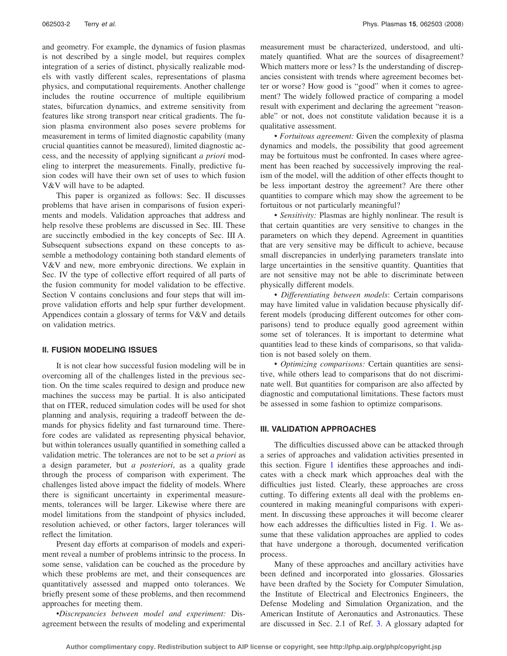and geometry. For example, the dynamics of fusion plasmas is not described by a single model, but requires complex integration of a series of distinct, physically realizable models with vastly different scales, representations of plasma physics, and computational requirements. Another challenge includes the routine occurrence of multiple equilibrium states, bifurcation dynamics, and extreme sensitivity from features like strong transport near critical gradients. The fusion plasma environment also poses severe problems for measurement in terms of limited diagnostic capability (many crucial quantities cannot be measured), limited diagnostic access, and the necessity of applying significant *a priori* modeling to interpret the measurements. Finally, predictive fusion codes will have their own set of uses to which fusion V&V will have to be adapted.

This paper is organized as follows: Sec. II discusses problems that have arisen in comparisons of fusion experiments and models. Validation approaches that address and help resolve these problems are discussed in Sec. III. These are succinctly embodied in the key concepts of Sec. III A. Subsequent subsections expand on these concepts to assemble a methodology containing both standard elements of V&V and new, more embryonic directions. We explain in Sec. IV the type of collective effort required of all parts of the fusion community for model validation to be effective. Section V contains conclusions and four steps that will improve validation efforts and help spur further development. Appendices contain a glossary of terms for V&V and details on validation metrics.

# **II. FUSION MODELING ISSUES**

It is not clear how successful fusion modeling will be in overcoming all of the challenges listed in the previous section. On the time scales required to design and produce new machines the success may be partial. It is also anticipated that on ITER, reduced simulation codes will be used for shot planning and analysis, requiring a tradeoff between the demands for physics fidelity and fast turnaround time. Therefore codes are validated as representing physical behavior, but within tolerances usually quantified in something called a validation metric. The tolerances are not to be set *a priori* as a design parameter, but *a posteriori*, as a quality grade through the process of comparison with experiment. The challenges listed above impact the fidelity of models. Where there is significant uncertainty in experimental measurements, tolerances will be larger. Likewise where there are model limitations from the standpoint of physics included, resolution achieved, or other factors, larger tolerances will reflect the limitation.

Present day efforts at comparison of models and experiment reveal a number of problems intrinsic to the process. In some sense, validation can be couched as the procedure by which these problems are met, and their consequences are quantitatively assessed and mapped onto tolerances. We briefly present some of these problems, and then recommend approaches for meeting them.

•*Discrepancies between model and experiment:* Disagreement between the results of modeling and experimental measurement must be characterized, understood, and ultimately quantified. What are the sources of disagreement? Which matters more or less? Is the understanding of discrepancies consistent with trends where agreement becomes better or worse? How good is "good" when it comes to agreement? The widely followed practice of comparing a model result with experiment and declaring the agreement "reasonable" or not, does not constitute validation because it is a qualitative assessment.

• *Fortuitous agreement:* Given the complexity of plasma dynamics and models, the possibility that good agreement may be fortuitous must be confronted. In cases where agreement has been reached by successively improving the realism of the model, will the addition of other effects thought to be less important destroy the agreement? Are there other quantities to compare which may show the agreement to be fortuitous or not particularly meaningful?

• *Sensitivity:* Plasmas are highly nonlinear. The result is that certain quantities are very sensitive to changes in the parameters on which they depend. Agreement in quantities that are very sensitive may be difficult to achieve, because small discrepancies in underlying parameters translate into large uncertainties in the sensitive quantity. Quantities that are not sensitive may not be able to discriminate between physically different models.

• *Differentiating between models*: Certain comparisons may have limited value in validation because physically different models (producing different outcomes for other comparisons) tend to produce equally good agreement within some set of tolerances. It is important to determine what quantities lead to these kinds of comparisons, so that validation is not based solely on them.

• *Optimizing comparisons:* Certain quantities are sensitive, while others lead to comparisons that do not discriminate well. But quantities for comparison are also affected by diagnostic and computational limitations. These factors must be assessed in some fashion to optimize comparisons.

# **III. VALIDATION APPROACHES**

The difficulties discussed above can be attacked through a series of approaches and validation activities presented in this section. Figure [1](#page-2-0) identifies these approaches and indicates with a check mark which approaches deal with the difficulties just listed. Clearly, these approaches are cross cutting. To differing extents all deal with the problems encountered in making meaningful comparisons with experiment. In discussing these approaches it will become clearer how each addresses the difficulties listed in Fig. [1.](#page-2-0) We assume that these validation approaches are applied to codes that have undergone a thorough, documented verification process.

Many of these approaches and ancillary activities have been defined and incorporated into glossaries. Glossaries have been drafted by the Society for Computer Simulation, the Institute of Electrical and Electronics Engineers, the Defense Modeling and Simulation Organization, and the American Institute of Aeronautics and Astronautics. These are discussed in Sec. 2.1 of Ref. [3.](#page-11-2) A glossary adapted for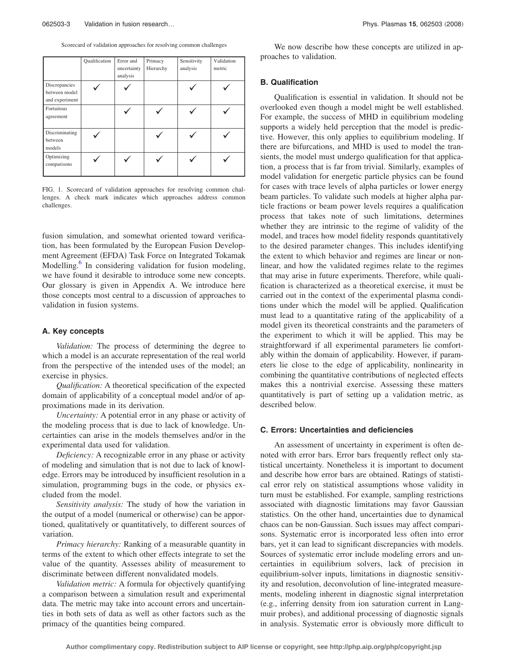Scorecard of validation approaches for resolving common challenges

<span id="page-2-0"></span>

|                                                  | Qualification | Error and<br>uncertainty<br>analysis | Primacy<br>Hierarchy | Sensitivity<br>analysis | Validation<br>metric |
|--------------------------------------------------|---------------|--------------------------------------|----------------------|-------------------------|----------------------|
| Discrepancies<br>between model<br>and experiment |               |                                      |                      |                         |                      |
| Fortuitous<br>agreement                          |               |                                      |                      |                         |                      |
| Discriminating<br>between<br>models              |               |                                      |                      |                         |                      |
| Optimizing<br>comparisons                        |               |                                      |                      |                         |                      |

FIG. 1. Scorecard of validation approaches for resolving common challenges. A check mark indicates which approaches address common challenges.

fusion simulation, and somewhat oriented toward verification, has been formulated by the European Fusion Development Agreement (EFDA) Task Force on Integrated Tokamak Modelling.<sup>6</sup> In considering validation for fusion modeling, we have found it desirable to introduce some new concepts. Our glossary is given in Appendix A. We introduce here those concepts most central to a discussion of approaches to validation in fusion systems.

#### **A. Key concepts**

*Validation:* The process of determining the degree to which a model is an accurate representation of the real world from the perspective of the intended uses of the model; an exercise in physics.

*Qualification:* A theoretical specification of the expected domain of applicability of a conceptual model and/or of approximations made in its derivation.

*Uncertainty:* A potential error in any phase or activity of the modeling process that is due to lack of knowledge. Uncertainties can arise in the models themselves and/or in the experimental data used for validation.

*Deficiency:* A recognizable error in any phase or activity of modeling and simulation that is not due to lack of knowledge. Errors may be introduced by insufficient resolution in a simulation, programming bugs in the code, or physics excluded from the model.

*Sensitivity analysis:* The study of how the variation in the output of a model (numerical or otherwise) can be apportioned, qualitatively or quantitatively, to different sources of variation.

*Primacy hierarchy:* Ranking of a measurable quantity in terms of the extent to which other effects integrate to set the value of the quantity. Assesses ability of measurement to discriminate between different nonvalidated models.

*Validation metric:* A formula for objectively quantifying a comparison between a simulation result and experimental data. The metric may take into account errors and uncertainties in both sets of data as well as other factors such as the primacy of the quantities being compared.

We now describe how these concepts are utilized in approaches to validation.

## **B. Qualification**

Qualification is essential in validation. It should not be overlooked even though a model might be well established. For example, the success of MHD in equilibrium modeling supports a widely held perception that the model is predictive. However, this only applies to equilibrium modeling. If there are bifurcations, and MHD is used to model the transients, the model must undergo qualification for that application, a process that is far from trivial. Similarly, examples of model validation for energetic particle physics can be found for cases with trace levels of alpha particles or lower energy beam particles. To validate such models at higher alpha particle fractions or beam power levels requires a qualification process that takes note of such limitations, determines whether they are intrinsic to the regime of validity of the model, and traces how model fidelity responds quantitatively to the desired parameter changes. This includes identifying the extent to which behavior and regimes are linear or nonlinear, and how the validated regimes relate to the regimes that may arise in future experiments. Therefore, while qualification is characterized as a theoretical exercise, it must be carried out in the context of the experimental plasma conditions under which the model will be applied. Qualification must lead to a quantitative rating of the applicability of a model given its theoretical constraints and the parameters of the experiment to which it will be applied. This may be straightforward if all experimental parameters lie comfortably within the domain of applicability. However, if parameters lie close to the edge of applicability, nonlinearity in combining the quantitative contributions of neglected effects makes this a nontrivial exercise. Assessing these matters quantitatively is part of setting up a validation metric, as described below.

#### **C. Errors: Uncertainties and deficiencies**

An assessment of uncertainty in experiment is often denoted with error bars. Error bars frequently reflect only statistical uncertainty. Nonetheless it is important to document and describe how error bars are obtained. Ratings of statistical error rely on statistical assumptions whose validity in turn must be established. For example, sampling restrictions associated with diagnostic limitations may favor Gaussian statistics. On the other hand, uncertainties due to dynamical chaos can be non-Gaussian. Such issues may affect comparisons. Systematic error is incorporated less often into error bars, yet it can lead to significant discrepancies with models. Sources of systematic error include modeling errors and uncertainties in equilibrium solvers, lack of precision in equilibrium-solver inputs, limitations in diagnostic sensitivity and resolution, deconvolution of line-integrated measurements, modeling inherent in diagnostic signal interpretation e.g., inferring density from ion saturation current in Langmuir probes), and additional processing of diagnostic signals in analysis. Systematic error is obviously more difficult to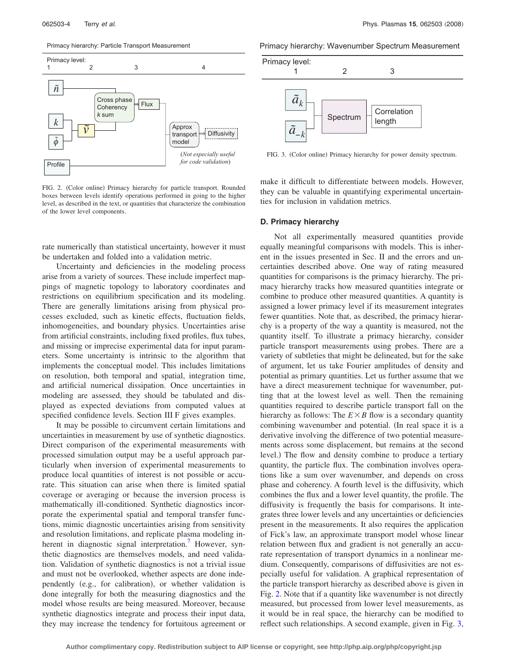Primacy hierarchy: Particle Transport Measurement

<span id="page-3-0"></span>

FIG. 2. (Color online) Primacy hierarchy for particle transport. Rounded boxes between levels identify operations performed in going to the higher level, as described in the text, or quantities that characterize the combination of the lower level components.

rate numerically than statistical uncertainty, however it must be undertaken and folded into a validation metric.

Uncertainty and deficiencies in the modeling process arise from a variety of sources. These include imperfect mappings of magnetic topology to laboratory coordinates and restrictions on equilibrium specification and its modeling. There are generally limitations arising from physical processes excluded, such as kinetic effects, fluctuation fields, inhomogeneities, and boundary physics. Uncertainties arise from artificial constraints, including fixed profiles, flux tubes, and missing or imprecise experimental data for input parameters. Some uncertainty is intrinsic to the algorithm that implements the conceptual model. This includes limitations on resolution, both temporal and spatial, integration time, and artificial numerical dissipation. Once uncertainties in modeling are assessed, they should be tabulated and displayed as expected deviations from computed values at specified confidence levels. Section III F gives examples.

It may be possible to circumvent certain limitations and uncertainties in measurement by use of synthetic diagnostics. Direct comparison of the experimental measurements with processed simulation output may be a useful approach particularly when inversion of experimental measurements to produce local quantities of interest is not possible or accurate. This situation can arise when there is limited spatial coverage or averaging or because the inversion process is mathematically ill-conditioned. Synthetic diagnostics incorporate the experimental spatial and temporal transfer functions, mimic diagnostic uncertainties arising from sensitivity and resolution limitations, and replicate plasma modeling inherent in diagnostic signal interpretation. However, synthetic diagnostics are themselves models, and need validation. Validation of synthetic diagnostics is not a trivial issue and must not be overlooked, whether aspects are done independently (e.g., for calibration), or whether validation is done integrally for both the measuring diagnostics and the model whose results are being measured. Moreover, because synthetic diagnostics integrate and process their input data, they may increase the tendency for fortuitous agreement or <span id="page-3-1"></span>Primacy hierarchy: Wavenumber Spectrum Measurement



FIG. 3. (Color online) Primacy hierarchy for power density spectrum.

make it difficult to differentiate between models. However, they can be valuable in quantifying experimental uncertainties for inclusion in validation metrics.

## **D. Primacy hierarchy**

Not all experimentally measured quantities provide equally meaningful comparisons with models. This is inherent in the issues presented in Sec. II and the errors and uncertainties described above. One way of rating measured quantities for comparisons is the primacy hierarchy. The primacy hierarchy tracks how measured quantities integrate or combine to produce other measured quantities. A quantity is assigned a lower primacy level if its measurement integrates fewer quantities. Note that, as described, the primacy hierarchy is a property of the way a quantity is measured, not the quantity itself. To illustrate a primacy hierarchy, consider particle transport measurements using probes. There are a variety of subtleties that might be delineated, but for the sake of argument, let us take Fourier amplitudes of density and potential as primary quantities. Let us further assume that we have a direct measurement technique for wavenumber, putting that at the lowest level as well. Then the remaining quantities required to describe particle transport fall on the hierarchy as follows: The  $E \times B$  flow is a secondary quantity combining wavenumber and potential. In real space it is a derivative involving the difference of two potential measurements across some displacement, but remains at the second level.) The flow and density combine to produce a tertiary quantity, the particle flux. The combination involves operations like a sum over wavenumber, and depends on cross phase and coherency. A fourth level is the diffusivity, which combines the flux and a lower level quantity, the profile. The diffusivity is frequently the basis for comparisons. It integrates three lower levels and any uncertainties or deficiencies present in the measurements. It also requires the application of Fick's law, an approximate transport model whose linear relation between flux and gradient is not generally an accurate representation of transport dynamics in a nonlinear medium. Consequently, comparisons of diffusivities are not especially useful for validation. A graphical representation of the particle transport hierarchy as described above is given in Fig. [2.](#page-3-0) Note that if a quantity like wavenumber is not directly measured, but processed from lower level measurements, as it would be in real space, the hierarchy can be modified to reflect such relationships. A second example, given in Fig. [3,](#page-3-1)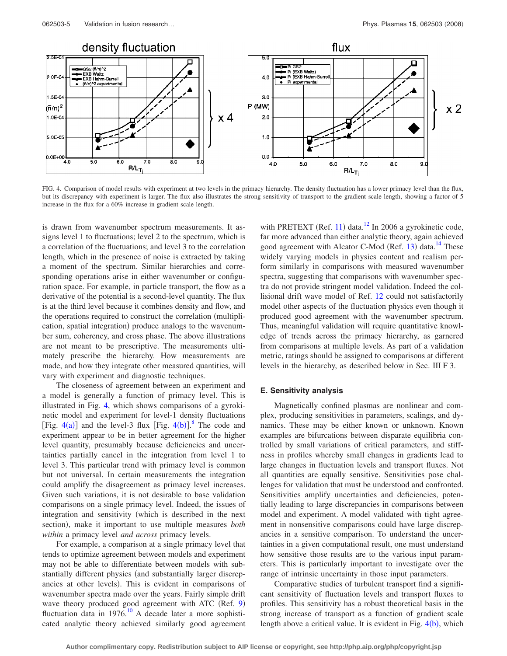<span id="page-4-0"></span>

FIG. 4. Comparison of model results with experiment at two levels in the primacy hierarchy. The density fluctuation has a lower primacy level than the flux, but its discrepancy with experiment is larger. The flux also illustrates the strong sensitivity of transport to the gradient scale length, showing a factor of 5 increase in the flux for a 60% increase in gradient scale length.

is drawn from wavenumber spectrum measurements. It assigns level 1 to fluctuations; level 2 to the spectrum, which is a correlation of the fluctuations; and level 3 to the correlation length, which in the presence of noise is extracted by taking a moment of the spectrum. Similar hierarchies and corresponding operations arise in either wavenumber or configuration space. For example, in particle transport, the flow as a derivative of the potential is a second-level quantity. The flux is at the third level because it combines density and flow, and the operations required to construct the correlation (multiplication, spatial integration) produce analogs to the wavenumber sum, coherency, and cross phase. The above illustrations are not meant to be prescriptive. The measurements ultimately prescribe the hierarchy. How measurements are made, and how they integrate other measured quantities, will vary with experiment and diagnostic techniques.

The closeness of agreement between an experiment and a model is generally a function of primacy level. This is illustrated in Fig. [4,](#page-4-0) which shows comparisons of a gyrokinetic model and experiment for level-1 density fluctuations [Fig.  $4(a)$  $4(a)$ ] and the level-3 flux [Fig.  $4(b)$ ].<sup>[8](#page-11-7)</sup> The code and experiment appear to be in better agreement for the higher level quantity, presumably because deficiencies and uncertainties partially cancel in the integration from level 1 to level 3. This particular trend with primacy level is common but not universal. In certain measurements the integration could amplify the disagreement as primacy level increases. Given such variations, it is not desirable to base validation comparisons on a single primacy level. Indeed, the issues of integration and sensitivity (which is described in the next section), make it important to use multiple measures *both within* a primacy level *and across* primacy levels.

For example, a comparison at a single primacy level that tends to optimize agreement between models and experiment may not be able to differentiate between models with substantially different physics (and substantially larger discrepancies at other levels). This is evident in comparisons of wavenumber spectra made over the years. Fairly simple drift wave theory produced good agreement with ATC (Ref. [9](#page-11-8)) fluctuation data in  $1976$ .<sup>10</sup> A decade later a more sophisticated analytic theory achieved similarly good agreement

with PRETEXT (Ref. [11](#page-11-10)) data. $^{12}$  In 2006 a gyrokinetic code, far more advanced than either analytic theory, again achieved good agreement with Alcator C-Mod (Ref. [13](#page-11-12)) data.<sup>14</sup> These widely varying models in physics content and realism perform similarly in comparisons with measured wavenumber spectra, suggesting that comparisons with wavenumber spectra do not provide stringent model validation. Indeed the collisional drift wave model of Ref. [12](#page-11-11) could not satisfactorily model other aspects of the fluctuation physics even though it produced good agreement with the wavenumber spectrum. Thus, meaningful validation will require quantitative knowledge of trends across the primacy hierarchy, as garnered from comparisons at multiple levels. As part of a validation metric, ratings should be assigned to comparisons at different levels in the hierarchy, as described below in Sec. III F 3.

# **E. Sensitivity analysis**

Magnetically confined plasmas are nonlinear and complex, producing sensitivities in parameters, scalings, and dynamics. These may be either known or unknown. Known examples are bifurcations between disparate equilibria controlled by small variations of critical parameters, and stiffness in profiles whereby small changes in gradients lead to large changes in fluctuation levels and transport fluxes. Not all quantities are equally sensitive. Sensitivities pose challenges for validation that must be understood and confronted. Sensitivities amplify uncertainties and deficiencies, potentially leading to large discrepancies in comparisons between model and experiment. A model validated with tight agreement in nonsensitive comparisons could have large discrepancies in a sensitive comparison. To understand the uncertainties in a given computational result, one must understand how sensitive those results are to the various input parameters. This is particularly important to investigate over the range of intrinsic uncertainty in those input parameters.

Comparative studies of turbulent transport find a significant sensitivity of fluctuation levels and transport fluxes to profiles. This sensitivity has a robust theoretical basis in the strong increase of transport as a function of gradient scale length above a critical value. It is evident in Fig. [4](#page-4-0)(b), which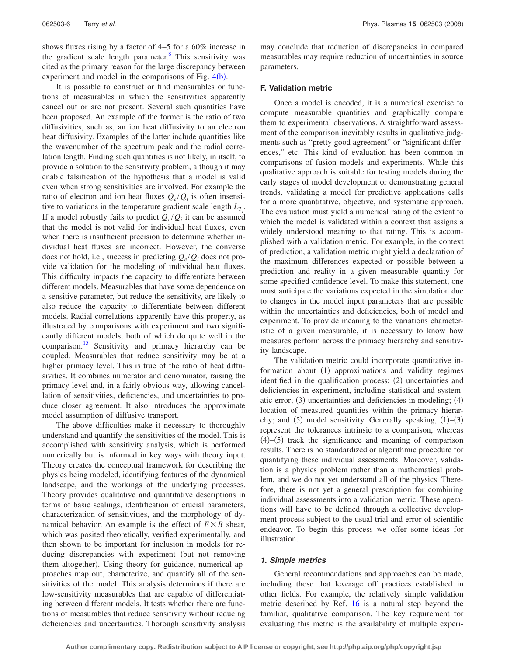shows fluxes rising by a factor of 4–5 for a 60% increase in the gradient scale length parameter.<sup>8</sup> This sensitivity was cited as the primary reason for the large discrepancy between experiment and model in the comparisons of Fig.  $4(b)$  $4(b)$ .

It is possible to construct or find measurables or functions of measurables in which the sensitivities apparently cancel out or are not present. Several such quantities have been proposed. An example of the former is the ratio of two diffusivities, such as, an ion heat diffusivity to an electron heat diffusivity. Examples of the latter include quantities like the wavenumber of the spectrum peak and the radial correlation length. Finding such quantities is not likely, in itself, to provide a solution to the sensitivity problem, although it may enable falsification of the hypothesis that a model is valid even when strong sensitivities are involved. For example the ratio of electron and ion heat fluxes  $Q_e/Q_i$  is often insensitive to variations in the temperature gradient scale length  $L_{T_i}$ . If a model robustly fails to predict  $Q_e/Q_i$  it can be assumed that the model is not valid for individual heat fluxes, even when there is insufficient precision to determine whether individual heat fluxes are incorrect. However, the converse does not hold, i.e., success in predicting  $Q_e/Q_i$  does not provide validation for the modeling of individual heat fluxes. This difficulty impacts the capacity to differentiate between different models. Measurables that have some dependence on a sensitive parameter, but reduce the sensitivity, are likely to also reduce the capacity to differentiate between different models. Radial correlations apparently have this property, as illustrated by comparisons with experiment and two significantly different models, both of which do quite well in the comparison.<sup>15</sup> Sensitivity and primacy hierarchy can be coupled. Measurables that reduce sensitivity may be at a higher primacy level. This is true of the ratio of heat diffusivities. It combines numerator and denominator, raising the primacy level and, in a fairly obvious way, allowing cancellation of sensitivities, deficiencies, and uncertainties to produce closer agreement. It also introduces the approximate model assumption of diffusive transport.

The above difficulties make it necessary to thoroughly understand and quantify the sensitivities of the model. This is accomplished with sensitivity analysis, which is performed numerically but is informed in key ways with theory input. Theory creates the conceptual framework for describing the physics being modeled, identifying features of the dynamical landscape, and the workings of the underlying processes. Theory provides qualitative and quantitative descriptions in terms of basic scalings, identification of crucial parameters, characterization of sensitivities, and the morphology of dynamical behavior. An example is the effect of  $E \times B$  shear, which was posited theoretically, verified experimentally, and then shown to be important for inclusion in models for reducing discrepancies with experiment (but not removing them altogether). Using theory for guidance, numerical approaches map out, characterize, and quantify all of the sensitivities of the model. This analysis determines if there are low-sensitivity measurables that are capable of differentiating between different models. It tests whether there are functions of measurables that reduce sensitivity without reducing deficiencies and uncertainties. Thorough sensitivity analysis may conclude that reduction of discrepancies in compared measurables may require reduction of uncertainties in source parameters.

# **F. Validation metric**

Once a model is encoded, it is a numerical exercise to compute measurable quantities and graphically compare them to experimental observations. A straightforward assessment of the comparison inevitably results in qualitative judgments such as "pretty good agreement" or "significant differences," etc. This kind of evaluation has been common in comparisons of fusion models and experiments. While this qualitative approach is suitable for testing models during the early stages of model development or demonstrating general trends, validating a model for predictive applications calls for a more quantitative, objective, and systematic approach. The evaluation must yield a numerical rating of the extent to which the model is validated within a context that assigns a widely understood meaning to that rating. This is accomplished with a validation metric. For example, in the context of prediction, a validation metric might yield a declaration of the maximum differences expected or possible between a prediction and reality in a given measurable quantity for some specified confidence level. To make this statement, one must anticipate the variations expected in the simulation due to changes in the model input parameters that are possible within the uncertainties and deficiencies, both of model and experiment. To provide meaning to the variations characteristic of a given measurable, it is necessary to know how measures perform across the primacy hierarchy and sensitivity landscape.

The validation metric could incorporate quantitative information about (1) approximations and validity regimes identified in the qualification process; (2) uncertainties and deficiencies in experiment, including statistical and systematic error; (3) uncertainties and deficiencies in modeling; (4) location of measured quantities within the primacy hierarchy; and  $(5)$  model sensitivity. Generally speaking,  $(1)$ – $(3)$ represent the tolerances intrinsic to a comparison, whereas  $(4)$ – $(5)$  track the significance and meaning of comparison results. There is no standardized or algorithmic procedure for quantifying these individual assessments. Moreover, validation is a physics problem rather than a mathematical problem, and we do not yet understand all of the physics. Therefore, there is not yet a general prescription for combining individual assessments into a validation metric. These operations will have to be defined through a collective development process subject to the usual trial and error of scientific endeavor. To begin this process we offer some ideas for illustration.

## *1. Simple metrics*

General recommendations and approaches can be made, including those that leverage off practices established in other fields. For example, the relatively simple validation metric described by Ref. [16](#page-11-15) is a natural step beyond the familiar, qualitative comparison. The key requirement for evaluating this metric is the availability of multiple experi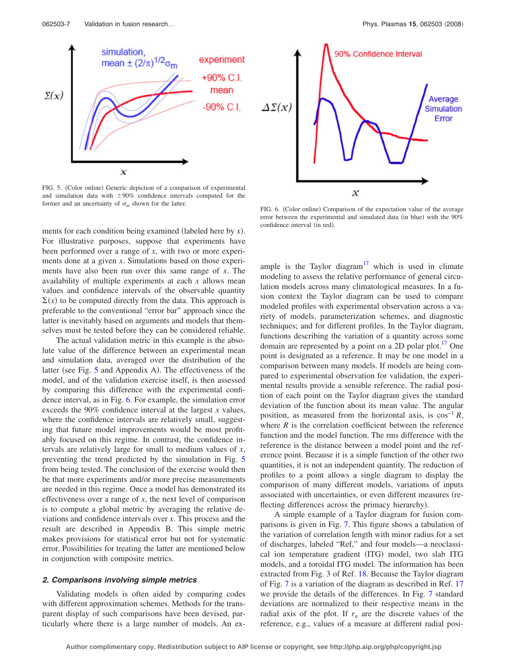<span id="page-6-0"></span> $\Sigma(x)$ 





FIG. 5. (Color online) Generic depiction of a comparison of experimental and simulation data with  $\pm 90\%$  confidence intervals computed for the former and an uncertainty of  $\sigma_m$  shown for the latter.

ments for each condition being examined (labeled here by  $x$ ). For illustrative purposes, suppose that experiments have been performed over a range of *x*, with two or more experiments done at a given *x*. Simulations based on those experiments have also been run over this same range of *x*. The availability of multiple experiments at each *x* allows mean values and confidence intervals of the observable quantity  $\Sigma(x)$  to be computed directly from the data. This approach is preferable to the conventional "error bar" approach since the latter is inevitably based on arguments and models that themselves must be tested before they can be considered reliable.

The actual validation metric in this example is the absolute value of the difference between an experimental mean and simulation data, averaged over the distribution of the latter (see Fig. [5](#page-6-0) and Appendix A). The effectiveness of the model, and of the validation exercise itself, is then assessed by comparing this difference with the experimental confidence interval, as in Fig. [6.](#page-6-1) For example, the simulation error exceeds the 90% confidence interval at the largest *x* values, where the confidence intervals are relatively small, suggesting that future model improvements would be most profitably focused on this regime. In contrast, the confidence intervals are relatively large for small to medium values of *x*, preventing the trend predicted by the simulation in Fig. [5](#page-6-0) from being tested. The conclusion of the exercise would then be that more experiments and/or more precise measurements are needed in this regime. Once a model has demonstrated its effectiveness over a range of *x*, the next level of comparison is to compute a global metric by averaging the relative deviations and confidence intervals over *x*. This process and the result are described in Appendix B. This simple metric makes provisions for statistical error but not for systematic error. Possibilities for treating the latter are mentioned below in conjunction with composite metrics.

## *2. Comparisons involving simple metrics*

Validating models is often aided by comparing codes with different approximation schemes. Methods for the transparent display of such comparisons have been devised, particularly where there is a large number of models. An ex-

<span id="page-6-1"></span>

FIG. 6. (Color online) Comparison of the expectation value of the average error between the experimental and simulated data (in blue) with the 90% confidence interval (in red).

ample is the Taylor diagram $17$  which is used in climate modeling to assess the relative performance of general circulation models across many climatological measures. In a fusion context the Taylor diagram can be used to compare modeled profiles with experimental observation across a variety of models, parameterization schemes, and diagnostic techniques; and for different profiles. In the Taylor diagram, functions describing the variation of a quantity across some domain are represented by a point on a 2D polar plot.<sup>17</sup> One point is designated as a reference. It may be one model in a comparison between many models. If models are being compared to experimental observation for validation, the experimental results provide a sensible reference. The radial position of each point on the Taylor diagram gives the standard deviation of the function about its mean value. The angular position, as measured from the horizontal axis, is  $\cos^{-1} R$ , where  $R$  is the correlation coefficient between the reference function and the model function. The rms difference with the reference is the distance between a model point and the reference point. Because it is a simple function of the other two quantities, it is not an independent quantity. The reduction of profiles to a point allows a single diagram to display the comparison of many different models, variations of inputs associated with uncertainties, or even different measures (reflecting differences across the primacy hierarchy).

A simple example of a Taylor diagram for fusion comparisons is given in Fig. [7.](#page-7-0) This figure shows a tabulation of the variation of correlation length with minor radius for a set of discharges, labeled "Ref," and four models—a neoclassical ion temperature gradient (ITG) model, two slab ITG models, and a toroidal ITG model. The information has been extracted from Fig. 3 of Ref. [18.](#page-11-17) Because the Taylor diagram of Fig. [7](#page-7-0) is a variation of the diagram as described in Ref. [17](#page-11-16) we provide the details of the differences. In Fig. [7](#page-7-0) standard deviations are normalized to their respective means in the radial axis of the plot. If  $r_n$  are the discrete values of the reference, e.g., values of a measure at different radial posi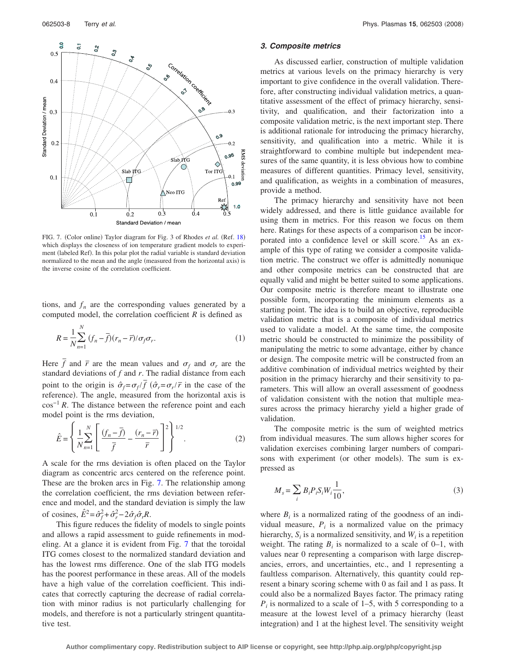*N*

<span id="page-7-0"></span>

FIG. 7. (Color online) Taylor diagram for Fig. 3 of Rhodes et al. (Ref. [18](#page-11-17)) which displays the closeness of ion temperature gradient models to experiment (labeled Ref). In this polar plot the radial variable is standard deviation normalized to the mean and the angle (measured from the horizontal axis) is the inverse cosine of the correlation coefficient.

tions, and  $f_n$  are the corresponding values generated by a computed model, the correlation coefficient *R* is defined as

$$
R = \frac{1}{N} \sum_{n=1}^{N} (f_n - \overline{f})(r_n - \overline{r})/\sigma_f \sigma_r.
$$
 (1)

Here  $\bar{f}$  and  $\bar{r}$  are the mean values and  $\sigma_f$  and  $\sigma_r$  are the standard deviations of *f* and *r*. The radial distance from each point to the origin is  $\hat{\sigma}_f = \sigma_f / \overline{f}$   $(\hat{\sigma}_r = \sigma_r / \overline{r}$  in the case of the reference). The angle, measured from the horizontal axis is cos−1 *R*. The distance between the reference point and each model point is the rms deviation,

$$
\hat{E} = \left\{ \frac{1}{N} \sum_{n=1}^{N} \left[ \frac{(f_n - \overline{f})}{\overline{f}} - \frac{(r_n - \overline{r})}{\overline{r}} \right]^2 \right\}^{1/2}.
$$
 (2)

A scale for the rms deviation is often placed on the Taylor diagram as concentric arcs centered on the reference point. These are the broken arcs in Fig. [7.](#page-7-0) The relationship among the correlation coefficient, the rms deviation between reference and model, and the standard deviation is simply the law of cosines,  $\hat{E}^2 = \hat{\sigma}_f^2 + \hat{\sigma}_r^2 - 2\hat{\sigma}_f\hat{\sigma}_rR$ .

This figure reduces the fidelity of models to single points and allows a rapid assessment to guide refinements in modeling. At a glance it is evident from Fig. [7](#page-7-0) that the toroidal ITG comes closest to the normalized standard deviation and has the lowest rms difference. One of the slab ITG models has the poorest performance in these areas. All of the models have a high value of the correlation coefficient. This indicates that correctly capturing the decrease of radial correlation with minor radius is not particularly challenging for models, and therefore is not a particularly stringent quantitative test.

## *3. Composite metrics*

As discussed earlier, construction of multiple validation metrics at various levels on the primacy hierarchy is very important to give confidence in the overall validation. Therefore, after constructing individual validation metrics, a quantitative assessment of the effect of primacy hierarchy, sensitivity, and qualification, and their factorization into a composite validation metric, is the next important step. There is additional rationale for introducing the primacy hierarchy, sensitivity, and qualification into a metric. While it is straightforward to combine multiple but independent measures of the same quantity, it is less obvious how to combine measures of different quantities. Primacy level, sensitivity, and qualification, as weights in a combination of measures, provide a method.

The primacy hierarchy and sensitivity have not been widely addressed, and there is little guidance available for using them in metrics. For this reason we focus on them here. Ratings for these aspects of a comparison can be incorporated into a confidence level or skill score.<sup>15</sup> As an example of this type of rating we consider a composite validation metric. The construct we offer is admittedly nonunique and other composite metrics can be constructed that are equally valid and might be better suited to some applications. Our composite metric is therefore meant to illustrate one possible form, incorporating the minimum elements as a starting point. The idea is to build an objective, reproducible validation metric that is a composite of individual metrics used to validate a model. At the same time, the composite metric should be constructed to minimize the possibility of manipulating the metric to some advantage, either by chance or design. The composite metric will be constructed from an additive combination of individual metrics weighted by their position in the primacy hierarchy and their sensitivity to parameters. This will allow an overall assessment of goodness of validation consistent with the notion that multiple measures across the primacy hierarchy yield a higher grade of validation.

The composite metric is the sum of weighted metrics from individual measures. The sum allows higher scores for validation exercises combining larger numbers of comparisons with experiment (or other models). The sum is expressed as

$$
M_s = \sum_i B_i P_i S_i W_i \frac{1}{10},
$$
\n(3)

where  $B_i$  is a normalized rating of the goodness of an individual measure,  $P_i$  is a normalized value on the primacy hierarchy,  $S_i$  is a normalized sensitivity, and  $W_i$  is a repetition weight. The rating  $B_i$  is normalized to a scale of  $0-1$ , with values near 0 representing a comparison with large discrepancies, errors, and uncertainties, etc., and 1 representing a faultless comparison. Alternatively, this quantity could represent a binary scoring scheme with 0 as fail and 1 as pass. It could also be a normalized Bayes factor. The primacy rating  $P_i$  is normalized to a scale of 1–5, with 5 corresponding to a measure at the lowest level of a primacy hierarchy least integration) and 1 at the highest level. The sensitivity weight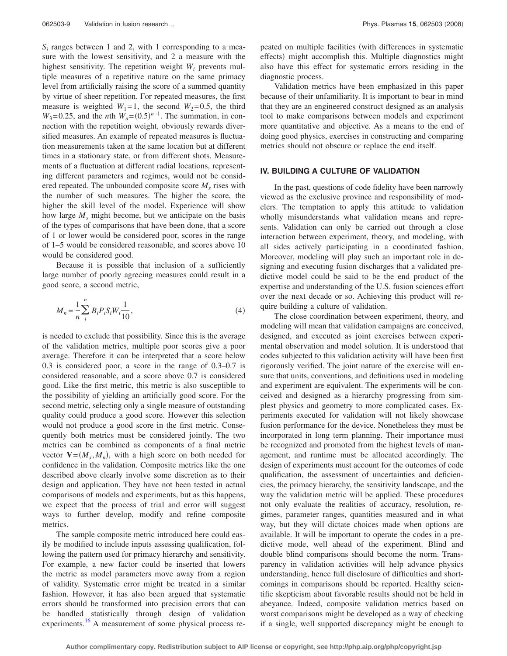$S_i$  ranges between 1 and 2, with 1 corresponding to a measure with the lowest sensitivity, and 2 a measure with the highest sensitivity. The repetition weight  $W_i$  prevents multiple measures of a repetitive nature on the same primacy level from artificially raising the score of a summed quantity by virtue of sheer repetition. For repeated measures, the first measure is weighted  $W_1 = 1$ , the second  $W_2 = 0.5$ , the third  $W_3 = 0.25$ , and the *n*th  $W_n = (0.5)^{n-1}$ . The summation, in connection with the repetition weight, obviously rewards diversified measures. An example of repeated measures is fluctuation measurements taken at the same location but at different times in a stationary state, or from different shots. Measurements of a fluctuation at different radial locations, representing different parameters and regimes, would not be considered repeated. The unbounded composite score  $M<sub>s</sub>$  rises with the number of such measures. The higher the score, the higher the skill level of the model. Experience will show how large  $M_s$  might become, but we anticipate on the basis of the types of comparisons that have been done, that a score of 1 or lower would be considered poor, scores in the range of 1–5 would be considered reasonable, and scores above 10 would be considered good.

Because it is possible that inclusion of a sufficiently large number of poorly agreeing measures could result in a good score, a second metric,

$$
M_n = \frac{1}{n} \sum_{i}^{n} B_i P_i S_i W_i \frac{1}{10},
$$
\n(4)

is needed to exclude that possibility. Since this is the average of the validation metrics, multiple poor scores give a poor average. Therefore it can be interpreted that a score below 0.3 is considered poor, a score in the range of 0.3–0.7 is considered reasonable, and a score above 0.7 is considered good. Like the first metric, this metric is also susceptible to the possibility of yielding an artificially good score. For the second metric, selecting only a single measure of outstanding quality could produce a good score. However this selection would not produce a good score in the first metric. Consequently both metrics must be considered jointly. The two metrics can be combined as components of a final metric vector  $\mathbf{V} = (M_s, M_n)$ , with a high score on both needed for confidence in the validation. Composite metrics like the one described above clearly involve some discretion as to their design and application. They have not been tested in actual comparisons of models and experiments, but as this happens, we expect that the process of trial and error will suggest ways to further develop, modify and refine composite metrics.

The sample composite metric introduced here could easily be modified to include inputs assessing qualification, following the pattern used for primacy hierarchy and sensitivity. For example, a new factor could be inserted that lowers the metric as model parameters move away from a region of validity. Systematic error might be treated in a similar fashion. However, it has also been argued that systematic errors should be transformed into precision errors that can be handled statistically through design of validation experiments.<sup>16</sup> A measurement of some physical process repeated on multiple facilities (with differences in systematic effects) might accomplish this. Multiple diagnostics might also have this effect for systematic errors residing in the diagnostic process.

Validation metrics have been emphasized in this paper because of their unfamiliarity. It is important to bear in mind that they are an engineered construct designed as an analysis tool to make comparisons between models and experiment more quantitative and objective. As a means to the end of doing good physics, exercises in constructing and comparing metrics should not obscure or replace the end itself.

# **IV. BUILDING A CULTURE OF VALIDATION**

In the past, questions of code fidelity have been narrowly viewed as the exclusive province and responsibility of modelers. The temptation to apply this attitude to validation wholly misunderstands what validation means and represents. Validation can only be carried out through a close interaction between experiment, theory, and modeling, with all sides actively participating in a coordinated fashion. Moreover, modeling will play such an important role in designing and executing fusion discharges that a validated predictive model could be said to be the end product of the expertise and understanding of the U.S. fusion sciences effort over the next decade or so. Achieving this product will require building a culture of validation.

The close coordination between experiment, theory, and modeling will mean that validation campaigns are conceived, designed, and executed as joint exercises between experimental observation and model solution. It is understood that codes subjected to this validation activity will have been first rigorously verified. The joint nature of the exercise will ensure that units, conventions, and definitions used in modeling and experiment are equivalent. The experiments will be conceived and designed as a hierarchy progressing from simplest physics and geometry to more complicated cases. Experiments executed for validation will not likely showcase fusion performance for the device. Nonetheless they must be incorporated in long term planning. Their importance must be recognized and promoted from the highest levels of management, and runtime must be allocated accordingly. The design of experiments must account for the outcomes of code qualification, the assessment of uncertainties and deficiencies, the primacy hierarchy, the sensitivity landscape, and the way the validation metric will be applied. These procedures not only evaluate the realities of accuracy, resolution, regimes, parameter ranges, quantities measured and in what way, but they will dictate choices made when options are available. It will be important to operate the codes in a predictive mode, well ahead of the experiment. Blind and double blind comparisons should become the norm. Transparency in validation activities will help advance physics understanding, hence full disclosure of difficulties and shortcomings in comparisons should be reported. Healthy scientific skepticism about favorable results should not be held in abeyance. Indeed, composite validation metrics based on worst comparisons might be developed as a way of checking if a single, well supported discrepancy might be enough to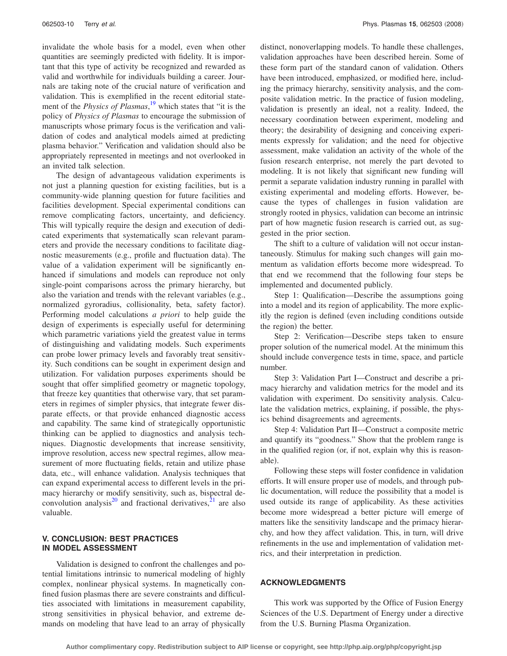invalidate the whole basis for a model, even when other quantities are seemingly predicted with fidelity. It is important that this type of activity be recognized and rewarded as valid and worthwhile for individuals building a career. Journals are taking note of the crucial nature of verification and validation. This is exemplified in the recent editorial statement of the *Physics of Plasmas*, [19](#page-11-18) which states that "it is the policy of *Physics of Plasmas* to encourage the submission of manuscripts whose primary focus is the verification and validation of codes and analytical models aimed at predicting plasma behavior." Verification and validation should also be appropriately represented in meetings and not overlooked in an invited talk selection.

The design of advantageous validation experiments is not just a planning question for existing facilities, but is a community-wide planning question for future facilities and facilities development. Special experimental conditions can remove complicating factors, uncertainty, and deficiency. This will typically require the design and execution of dedicated experiments that systematically scan relevant parameters and provide the necessary conditions to facilitate diagnostic measurements (e.g., profile and fluctuation data). The value of a validation experiment will be significantly enhanced if simulations and models can reproduce not only single-point comparisons across the primary hierarchy, but also the variation and trends with the relevant variables (e.g., normalized gyroradius, collisionality, beta, safety factor). Performing model calculations *a priori* to help guide the design of experiments is especially useful for determining which parametric variations yield the greatest value in terms of distinguishing and validating models. Such experiments can probe lower primacy levels and favorably treat sensitivity. Such conditions can be sought in experiment design and utilization. For validation purposes experiments should be sought that offer simplified geometry or magnetic topology, that freeze key quantities that otherwise vary, that set parameters in regimes of simpler physics, that integrate fewer disparate effects, or that provide enhanced diagnostic access and capability. The same kind of strategically opportunistic thinking can be applied to diagnostics and analysis techniques. Diagnostic developments that increase sensitivity, improve resolution, access new spectral regimes, allow measurement of more fluctuating fields, retain and utilize phase data, etc., will enhance validation. Analysis techniques that can expand experimental access to different levels in the primacy hierarchy or modify sensitivity, such as, bispectral deconvolution analysis<sup>20</sup> and fractional derivatives,  $21$  are also valuable.

# **V. CONCLUSION: BEST PRACTICES IN MODEL ASSESSMENT**

Validation is designed to confront the challenges and potential limitations intrinsic to numerical modeling of highly complex, nonlinear physical systems. In magnetically confined fusion plasmas there are severe constraints and difficulties associated with limitations in measurement capability, strong sensitivities in physical behavior, and extreme demands on modeling that have lead to an array of physically distinct, nonoverlapping models. To handle these challenges, validation approaches have been described herein. Some of these form part of the standard canon of validation. Others have been introduced, emphasized, or modified here, including the primacy hierarchy, sensitivity analysis, and the composite validation metric. In the practice of fusion modeling, validation is presently an ideal, not a reality. Indeed, the necessary coordination between experiment, modeling and theory; the desirability of designing and conceiving experiments expressly for validation; and the need for objective assessment, make validation an activity of the whole of the fusion research enterprise, not merely the part devoted to modeling. It is not likely that significant new funding will permit a separate validation industry running in parallel with existing experimental and modeling efforts. However, because the types of challenges in fusion validation are strongly rooted in physics, validation can become an intrinsic part of how magnetic fusion research is carried out, as suggested in the prior section.

The shift to a culture of validation will not occur instantaneously. Stimulus for making such changes will gain momentum as validation efforts become more widespread. To that end we recommend that the following four steps be implemented and documented publicly.

Step 1: Qualification—Describe the assumptions going into a model and its region of applicability. The more explicitly the region is defined (even including conditions outside the region) the better.

Step 2: Verification—Describe steps taken to ensure proper solution of the numerical model. At the minimum this should include convergence tests in time, space, and particle number.

Step 3: Validation Part I—Construct and describe a primacy hierarchy and validation metrics for the model and its validation with experiment. Do sensitivity analysis. Calculate the validation metrics, explaining, if possible, the physics behind disagreements and agreements.

Step 4: Validation Part II—Construct a composite metric and quantify its "goodness." Show that the problem range is in the qualified region (or, if not, explain why this is reasonable).

Following these steps will foster confidence in validation efforts. It will ensure proper use of models, and through public documentation, will reduce the possibility that a model is used outside its range of applicability. As these activities become more widespread a better picture will emerge of matters like the sensitivity landscape and the primacy hierarchy, and how they affect validation. This, in turn, will drive refinements in the use and implementation of validation metrics, and their interpretation in prediction.

# **ACKNOWLEDGMENTS**

This work was supported by the Office of Fusion Energy Sciences of the U.S. Department of Energy under a directive from the U.S. Burning Plasma Organization.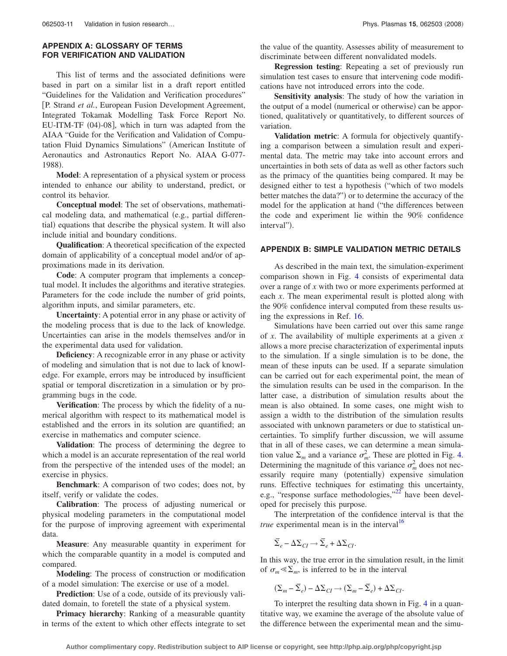# **APPENDIX A: GLOSSARY OF TERMS FOR VERIFICATION AND VALIDATION**

This list of terms and the associated definitions were based in part on a similar list in a draft report entitled "Guidelines for the Validation and Verification procedures" P. Strand *et al.*, European Fusion Development Agreement, Integrated Tokamak Modelling Task Force Report No. EU-ITM-TF (04)-08], which in turn was adapted from the AIAA "Guide for the Verification and Validation of Computation Fluid Dynamics Simulations" (American Institute of Aeronautics and Astronautics Report No. AIAA G-077- 1988).

**Model**: A representation of a physical system or process intended to enhance our ability to understand, predict, or control its behavior.

**Conceptual model**: The set of observations, mathematical modeling data, and mathematical (e.g., partial differential) equations that describe the physical system. It will also include initial and boundary conditions.

**Qualification**: A theoretical specification of the expected domain of applicability of a conceptual model and/or of approximations made in its derivation.

**Code**: A computer program that implements a conceptual model. It includes the algorithms and iterative strategies. Parameters for the code include the number of grid points, algorithm inputs, and similar parameters, etc.

**Uncertainty**: A potential error in any phase or activity of the modeling process that is due to the lack of knowledge. Uncertainties can arise in the models themselves and/or in the experimental data used for validation.

**Deficiency**: A recognizable error in any phase or activity of modeling and simulation that is not due to lack of knowledge. For example, errors may be introduced by insufficient spatial or temporal discretization in a simulation or by programming bugs in the code.

**Verification**: The process by which the fidelity of a numerical algorithm with respect to its mathematical model is established and the errors in its solution are quantified; an exercise in mathematics and computer science.

**Validation**: The process of determining the degree to which a model is an accurate representation of the real world from the perspective of the intended uses of the model; an exercise in physics.

**Benchmark**: A comparison of two codes; does not, by itself, verify or validate the codes.

**Calibration**: The process of adjusting numerical or physical modeling parameters in the computational model for the purpose of improving agreement with experimental data.

**Measure**: Any measurable quantity in experiment for which the comparable quantity in a model is computed and compared.

**Modeling**: The process of construction or modification of a model simulation: The exercise or use of a model.

**Prediction**: Use of a code, outside of its previously validated domain, to foretell the state of a physical system.

**Primacy hierarchy**: Ranking of a measurable quantity in terms of the extent to which other effects integrate to set the value of the quantity. Assesses ability of measurement to discriminate between different nonvalidated models.

**Regression testing**: Repeating a set of previously run simulation test cases to ensure that intervening code modifications have not introduced errors into the code.

**Sensitivity analysis**: The study of how the variation in the output of a model (numerical or otherwise) can be apportioned, qualitatively or quantitatively, to different sources of variation.

**Validation metric**: A formula for objectively quantifying a comparison between a simulation result and experimental data. The metric may take into account errors and uncertainties in both sets of data as well as other factors such as the primacy of the quantities being compared. It may be designed either to test a hypothesis ("which of two models") better matches the data?") or to determine the accuracy of the model for the application at hand ("the differences between the code and experiment lie within the 90% confidence interval").

## **APPENDIX B: SIMPLE VALIDATION METRIC DETAILS**

As described in the main text, the simulation-experiment comparison shown in Fig. [4](#page-4-0) consists of experimental data over a range of *x* with two or more experiments performed at each *x*. The mean experimental result is plotted along with the 90% confidence interval computed from these results using the expressions in Ref. [16.](#page-11-15)

Simulations have been carried out over this same range of *x*. The availability of multiple experiments at a given *x* allows a more precise characterization of experimental inputs to the simulation. If a single simulation is to be done, the mean of these inputs can be used. If a separate simulation can be carried out for each experimental point, the mean of the simulation results can be used in the comparison. In the latter case, a distribution of simulation results about the mean is also obtained. In some cases, one might wish to assign a width to the distribution of the simulation results associated with unknown parameters or due to statistical uncertainties. To simplify further discussion, we will assume that in all of these cases, we can determine a mean simulation value  $\Sigma_m$  and a variance  $\sigma_m^2$ . These are plotted in Fig. [4.](#page-4-0) Determining the magnitude of this variance  $\sigma_m^2$  does not necessarily require many (potentially) expensive simulation runs. Effective techniques for estimating this uncertainty, e.g., "response surface methodologies,"<sup>22</sup> have been developed for precisely this purpose.

The interpretation of the confidence interval is that the *true* experimental mean is in the interval<sup>16</sup>

$$
\overline{\Sigma}_e - \Delta \Sigma_{CI} \rightarrow \overline{\Sigma}_e + \Delta \Sigma_{CI}.
$$

In this way, the true error in the simulation result, in the limit of  $\sigma_m \ll \sum_m$ , is inferred to be in the interval

$$
(\Sigma_m - \overline{\Sigma}_e) - \Delta \Sigma_{CI} \rightarrow (\Sigma_m - \overline{\Sigma}_e) + \Delta \Sigma_{CI}.
$$

To interpret the resulting data shown in Fig. [4](#page-4-0) in a quantitative way, we examine the average of the absolute value of the difference between the experimental mean and the simu